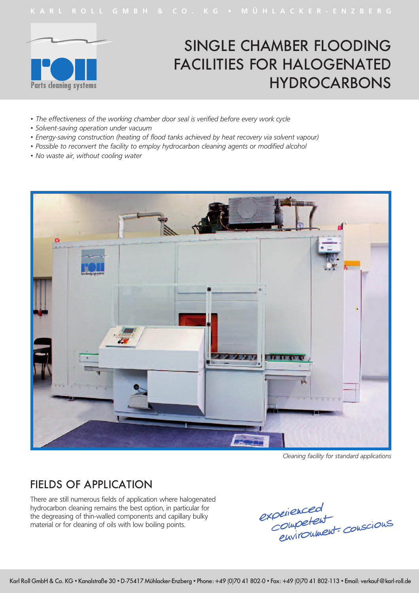

# SINGLE CHAMBER FLOODING FACILITIES FOR HALOGENATED HYDROCARBONS

- *• The effectiveness of the working chamber door seal is verified before every work cycle*
- *• Solvent-saving operation under vacuum*
- *• Energy-saving construction (heating of flood tanks achieved by heat recovery via solvent vapour)*
- *• Possible to reconvert the facility to employ hydrocarbon cleaning agents or modified alcohol*
- *• No waste air, without cooling water*



*Cleaning facility for standard applications*

#### FIELDS OF APPLICATION

There are still numerous fields of application where halogenated hydrocarbon cleaning remains the best option, in particular for the degreasing of thin-walled components and capillary bulky material or for cleaning of oils with low boiling points.

experienced<br>Competent<br>environment conscions